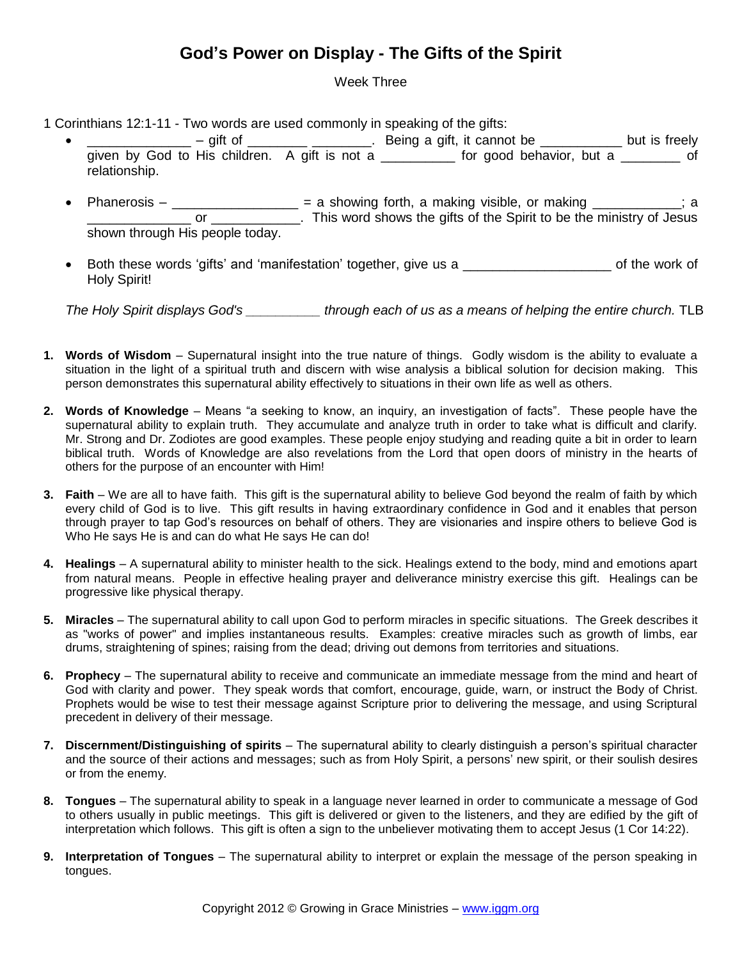## **God's Power on Display - The Gifts of the Spirit**

## Week Three

1 Corinthians 12:1-11 - Two words are used commonly in speaking of the gifts:

- $\frac{1}{2}$  gift of  $\frac{1}{2}$   $\frac{1}{2}$  Being a gift, it cannot be  $\frac{1}{2}$  but is freely given by God to His children. A gift is not a \_\_\_\_\_\_\_\_ for good behavior, but a \_\_\_\_\_\_\_ of relationship.
- Phanerosis  $-\underline{\hspace{1cm}}$  = a showing forth, a making visible, or making  $\underline{\hspace{1cm}}$  =  $\underline{\hspace{1cm}}$ ; a \_ or \_\_\_\_\_\_\_\_\_\_\_\_. This word shows the gifts of the Spirit to be the ministry of Jesus shown through His people today.
- Both these words 'gifts' and 'manifestation' together, give us a **Example 20** of the work of Holy Spirit!

*The Holy Spirit displays God's \_\_\_\_\_\_\_\_\_\_ through each of us as a means of helping the entire church.* TLB

- **1. Words of Wisdom** Supernatural insight into the true nature of things. Godly wisdom is the ability to evaluate a situation in the light of a spiritual truth and discern with wise analysis a biblical solution for decision making. This person demonstrates this supernatural ability effectively to situations in their own life as well as others.
- **2. Words of Knowledge** Means "a seeking to know, an inquiry, an investigation of facts". These people have the supernatural ability to explain truth. They accumulate and analyze truth in order to take what is difficult and clarify. Mr. Strong and Dr. Zodiotes are good examples. These people enjoy studying and reading quite a bit in order to learn biblical truth. Words of Knowledge are also revelations from the Lord that open doors of ministry in the hearts of others for the purpose of an encounter with Him!
- **3. Faith** We are all to have faith. This gift is the supernatural ability to believe God beyond the realm of faith by which every child of God is to live. This gift results in having extraordinary confidence in God and it enables that person through prayer to tap God's resources on behalf of others. They are visionaries and inspire others to believe God is Who He says He is and can do what He says He can do!
- **4. Healings** A supernatural ability to minister health to the sick. Healings extend to the body, mind and emotions apart from natural means. People in effective healing prayer and deliverance ministry exercise this gift. Healings can be progressive like physical therapy.
- **5. Miracles** The supernatural ability to call upon God to perform miracles in specific situations. The Greek describes it as "works of power" and implies instantaneous results. Examples: creative miracles such as growth of limbs, ear drums, straightening of spines; raising from the dead; driving out demons from territories and situations.
- **6. Prophecy** The supernatural ability to receive and communicate an immediate message from the mind and heart of God with clarity and power. They speak words that comfort, encourage, guide, warn, or instruct the Body of Christ. Prophets would be wise to test their message against Scripture prior to delivering the message, and using Scriptural precedent in delivery of their message.
- **7. Discernment/Distinguishing of spirits** The supernatural ability to clearly distinguish a person's spiritual character and the source of their actions and messages; such as from Holy Spirit, a persons' new spirit, or their soulish desires or from the enemy.
- **8. Tongues** The supernatural ability to speak in a language never learned in order to communicate a message of God to others usually in public meetings. This gift is delivered or given to the listeners, and they are edified by the gift of interpretation which follows. This gift is often a sign to the unbeliever motivating them to accept Jesus (1 Cor 14:22).
- **9. Interpretation of Tongues** The supernatural ability to interpret or explain the message of the person speaking in tongues.